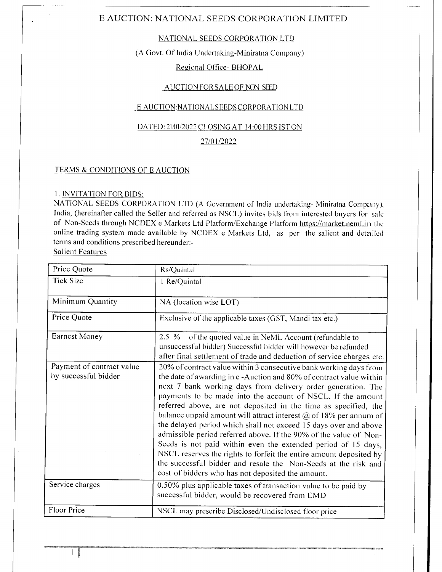#### NATIONAL SEEDS CORPORATION LTD

### (A Govt. Of India Undertaking-Miniratna Company)

## Regional Office- BHOPAL

#### AUCTION FOR SALE OF NON-SEED

#### \_ E AUCTION:NATIONAL S EEDS CORPORATION LTD

#### DATED: 21/01/2022 CLOSING AT 14:00 HRS IST ON

#### 27/01/2022

#### TERMS & CONDITIONS OF E AUCTION

#### I. INVITATION FOR BIDS:

NATIONAL SEEDS CORPORATION LTD (A Government of India undertaking- Miniratna Company), India, (hereinafter called the Seller and referred as NSCL) invites bids from interested buyers for sale of Non-Seeds through NCDEX e Markets Ltd Platform/Exchange Platform https://market.neml.in the online trading system made available by NCDEX e Markets Ltd, as per the salient and detailed terms and conditions prescribed hereunder:-

Salient Features

| Price Quote                                       | Rs/Quintal                                                                                                                                                                                                                                                                                                                                                                                                                                                                                                                                                                                                                                                                                                                                                                                                                   |
|---------------------------------------------------|------------------------------------------------------------------------------------------------------------------------------------------------------------------------------------------------------------------------------------------------------------------------------------------------------------------------------------------------------------------------------------------------------------------------------------------------------------------------------------------------------------------------------------------------------------------------------------------------------------------------------------------------------------------------------------------------------------------------------------------------------------------------------------------------------------------------------|
| <b>Tick Size</b>                                  | 1 Re/Quintal                                                                                                                                                                                                                                                                                                                                                                                                                                                                                                                                                                                                                                                                                                                                                                                                                 |
| Minimum Quantity                                  | NA (location wise LOT)                                                                                                                                                                                                                                                                                                                                                                                                                                                                                                                                                                                                                                                                                                                                                                                                       |
| Price Quote                                       | Exclusive of the applicable taxes (GST, Mandi tax etc.)                                                                                                                                                                                                                                                                                                                                                                                                                                                                                                                                                                                                                                                                                                                                                                      |
| <b>Earnest Money</b>                              | 2.5 % of the quoted value in NeML Account (refundable to<br>unsuccessful bidder) Successful bidder will however be refunded<br>after final settlement of trade and deduction of service charges etc.                                                                                                                                                                                                                                                                                                                                                                                                                                                                                                                                                                                                                         |
| Payment of contract value<br>by successful bidder | 20% of contract value within 3 consecutive bank working days from<br>the date of awarding in e-Auction and 80% of contract value within<br>next 7 bank working days from delivery order generation. The<br>payments to be made into the account of NSCL. If the amount<br>referred above, are not deposited in the time as specified, the<br>balance unpaid amount will attract interest $\omega$ of 18% per annum of<br>the delayed period which shall not exceed 15 days over and above<br>admissible period referred above. If the 90% of the value of Non-<br>Seeds is not paid within even the extended period of 15 days,<br>NSCL reserves the rights to forfeit the entire amount deposited by<br>the successful bidder and resale the Non-Seeds at the risk and<br>cost of bidders who has not deposited the amount. |
| Service charges                                   | 0.50% plus applicable taxes of transaction value to be paid by<br>successful bidder, would be recovered from EMD                                                                                                                                                                                                                                                                                                                                                                                                                                                                                                                                                                                                                                                                                                             |
| Floor Price                                       | NSCL may prescribe Disclosed/Undisclosed floor price                                                                                                                                                                                                                                                                                                                                                                                                                                                                                                                                                                                                                                                                                                                                                                         |

 $1$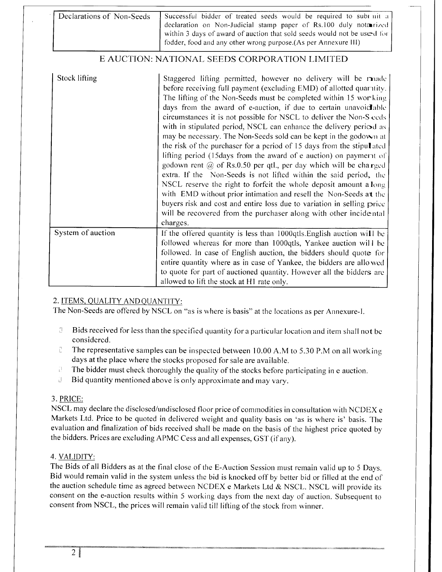| Declarations of Non-Seeds | Successful bidder of treated seeds would be required to subt nit a      |
|---------------------------|-------------------------------------------------------------------------|
|                           | declaration on Non-Judicial stamp paper of Rs.100 duly notarized        |
|                           | within 3 days of award of auction that sold seeds would not be used for |
|                           | fodder, food and any other wrong purpose. (As per Annexure III)         |

| Stock lifting     | Staggered lifting permitted, however no delivery will be made<br>before receiving full payment (excluding EMD) of allotted quaritity.<br>The lifting of the Non-Seeds must be completed within 15 working<br>days from the award of e-auction, if due to certain unavoid able<br>circumstances it is not possible for NSCL to deliver the Non-S ceds<br>with in stipulated period, NSCL can enhance the delivery period as<br>may be necessary. The Non-Seeds sold can be kept in the godown at<br>the risk of the purchaser for a period of 15 days from the stipulated<br>lifting period (15 days from the award of e auction) on payment of<br>godown rent $\omega$ of Rs.0.50 per qtl., per day which will be charged<br>extra. If the Non-Seeds is not lifted within the said period, the<br>NSCL reserve the right to forfeit the whole deposit amount a long<br>with EMD without prior intimation and resell the Non-Seeds at the<br>buyers risk and cost and entire loss due to variation in selling price<br>will be recovered from the purchaser along with other incidental<br>charges. |
|-------------------|----------------------------------------------------------------------------------------------------------------------------------------------------------------------------------------------------------------------------------------------------------------------------------------------------------------------------------------------------------------------------------------------------------------------------------------------------------------------------------------------------------------------------------------------------------------------------------------------------------------------------------------------------------------------------------------------------------------------------------------------------------------------------------------------------------------------------------------------------------------------------------------------------------------------------------------------------------------------------------------------------------------------------------------------------------------------------------------------------|
| System of auction | If the offered quantity is less than 1000qtls. English auction will be<br>followed whereas for more than 1000qtls, Yankee auction will be<br>followed. In case of English auction, the bidders should quote for<br>entire quantity where as in case of Yankee, the bidders are allowed<br>to quote for part of auctioned quantity. However all the bidders are<br>allowed to lift the stock at H1 rate only.                                                                                                                                                                                                                                                                                                                                                                                                                                                                                                                                                                                                                                                                                       |

# 2. ITEMS. OUALITY ANDOUANTITY:

The Non-Seeds are offered by NSCL on "as is where is basis" at the locations as per Annexure-I.

- $\Box$  Bids received for less than the specified quantity for a particular location and item shall not be considcrcd.
- $\Box$  The representative samples can be inspected between 10.00 A.M to 5.30 P.M on all working days at the place where the stocks proposed for sale are available.
- $\Box$  The bidder must check thoroughly the quality of the stocks before participating in e auction.<br> $\Box$  Bid quantity mentioned above is only approximate and may vary
- Bid quantity mentioned above is only approximate and may vary.

#### 3. PRICE:

NSCL may declare the disclosed/undisclosed floor price of commodities in consultation with NCDEX e Markets Ltd. Price to be quoted in delivered weight and quality basis on 'as is where is' basis. The evaluation and finalization of bids received shall be made on the basis of the highest price quoted by the bidders. Prices are excluding APMC Cess and all expenses, GST (if any).

# 4. VALIDITY:

The Bids of all Bidders as at the final close of the E-Auction Session must remain valid up to 5 Days. Bid would remain valid in the system unless the bid is knocked off by better bid or filled at the end of the auction schedule time as agreed between NCDEX e Markets Ltd  $& NSCL$ . NSCL will provide its consent on the e-auction results within 5 working days from the next day of auction. Subsequent to consent from NSCL, the prices will remain valid till lifting of the stock from winner.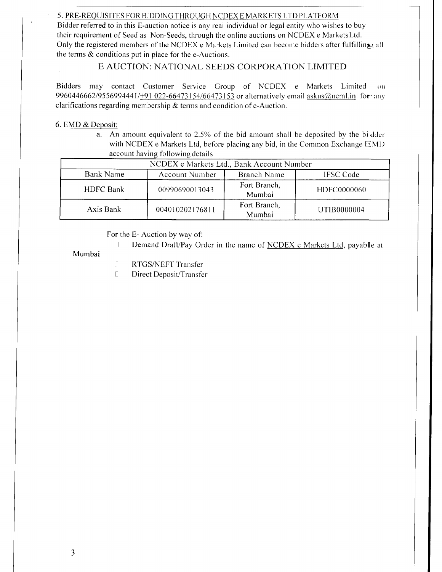### 5. PRE-REOUISITES FOR BIDDING THROUGH NCDEX E MARKETS LTD PLATFORM

Bidder referred to in this E-auction notice is any real individual or legal entity who wishes to buy their requirement of Seed as Non-Seeds, through the online auctions on NCDEX e MarketsLtd. Only the registered members of the NCDEX e Markets Limited can become bidders after fulfilling all the terms  $\&$  conditions put in place for the e-Auctions.

# E AUCTION: NATIONAL SEEDS CORPORATION LIMITED

Bidders may contact Customer Service Group of NCDEX e Markets Limited on 9960446662/9556994441/+91 022-66473154/66473153 or alternatively email askus@neml.in for- any clarifications regarding membership  $&$  terms and condition of e-Auction.

#### 6. EMD & Deposit:

a. An amount equivalent to  $2.5\%$  of the bid amount shall be deposited by the bidder with NCDEX e Markets Ltd, before placing any bid, in the Common Exchange EMI) account having following details

|                  | NCDEX e Markets Ltd., Bank Account Number |                        |                  |
|------------------|-------------------------------------------|------------------------|------------------|
| <b>Bank Name</b> | Account Number                            | Branch Name            | <b>IFSC Code</b> |
| <b>HDFC Bank</b> | 00990690013043                            | Fort Branch,<br>Mumbai | HDFC0000060      |
| Axis Bank        | 004010202176811                           | Fort Branch,<br>Mumbai | UTIB0000004      |

For the E- Auction by way of:

[] Demand Draft/Pay Order in the name of NCDEX e Markets Ltd, payable at

#### Mumbai

- **B** RTGS/NEFT Transfer
- Direct Deposit/Transfer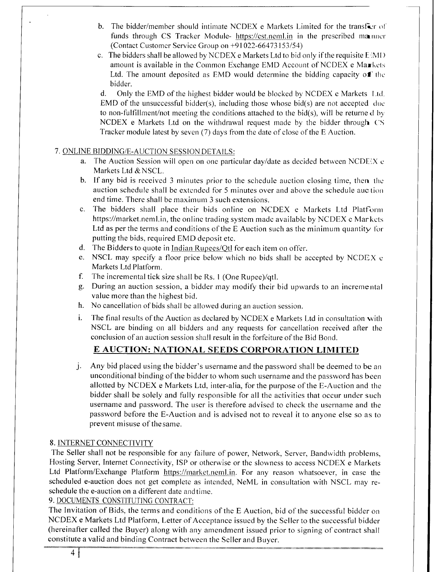- b. The bidder/member should intimate NCDEX e Markets Limited for the transfer of funds through CS Tracker Module- https://cst.neml.in in the prescribed manner (Contact Customer Service Group on  $+91022-66473153/54$ )
- c. The bidders shall be allowed by NCDEX e Markets Ltd to bid only if the requisite  $E^{\dagger}$ MD amount is available in the Common Exchange EMD Account of NCDEX e Markets Ltd. The amount deposited as EMD would determine the bidding capacity of the bidder.

d. Only the EMD of the highest bidder would be blocked by NCDEX e Markets 1.td. EMD of the unsuccessful bidder(s), including those whose bid(s) are not accepted due to non-fulfillment/not meeting the conditions attached to the bid(s), will be returned by  $NCDEX$  e Markets Ltd on the withdrawal request made by the bidder through  $CS$ Tracker module latest by seven (7) days from the date of close of the E Auction.

## 7. ONLINE BIDDING/E-AUCTION SESSION DETAILS:

- a. The Auction Session will open on one particular day/date as decided between NCDE $\chi$  c Markets Ltd & NSCL.
- b. If any bid is received 3 minutes prior to the schedule auction closing time, then the auction schedule shall be extended for 5 minutes over and above the schedule auction end time. There shall be maximum 3 such extensions.
- c. The bidders shall place their bids online on NCDEX e Markets Ltd Platform https://market.neml.in, the online trading system made available by NCDEX e Markets Ltd as per the terms and conditions of the E Auction such as the minimum quantity for putting the bids, required EMD deposit etc.
- d. The Bidders to quote in Indian Rupees/Qtl for each item on offer.
- e. NSCL may specify a floor price below which no bids shall be accepted by NCDEX e Markets Ltd Platform.
- f. The incremental tick size shall be Rs. 1 (One Rupee)/qtl.
- g. During an auction session, a bidder may modify their bid upwards to an incremental value more than the highest bid.
- h. No cancellation of bids shall be allowed during an auction session.
- i. The final results of the Auction as declared by NCDEX e Markets Ltd in consultation with NSCL are binding on all bidders and any requests for cancellation received after the conclusion of an auction session shall result in the forfeiture of the Bid Bond.

# E AUCTION: NATIONAL SEEDS CORPORATION LIMITED

j Any bid placed using the bidder's username and the password shall be deemed to be an unconditional binding of the bidder to whom such username and the password has been allotted by NCDEX e Markets Ltd, inter-alia, for the purpose of the E-Auction and the bidder shall be solely and fully responsible for all the activities that occur under such username and password. The user is therefore advised to check the username and the password before the E-Auction and is advised not to reveal it to anyone else so as to prevent misuse of thesame.

# 8. INTERNET CONNECTIVITY

The Seller shall not be responsible for any failure of power, Network, Server, Bandwidth problems, Hosting Server, Internet Connectivity, ISP or otherwise or the slowness to access NCDEX e Markets Ltd Platform/Exchange Platform https://market.neml.in. For any reason whatsoever, in case the scheduled e-auction does not get complete as intended, NeML in consultation with NSCL may reschedule the e-auction on a different date andtime.

# 9. DOCUMENTS CONSTITUTING CONTRACT:

The Invitation of Bids, the terms and conditions of the E Auction, bid of the successful bidder on NCDEX e Markets Ltd Platform, Letter of Acceptance issued by the Seller to the successful bidder (hereinafter called the Buyer) along with any amendment issued prior to signing of contract shall constitute a valid and binding Contract between the Seller and Buyer.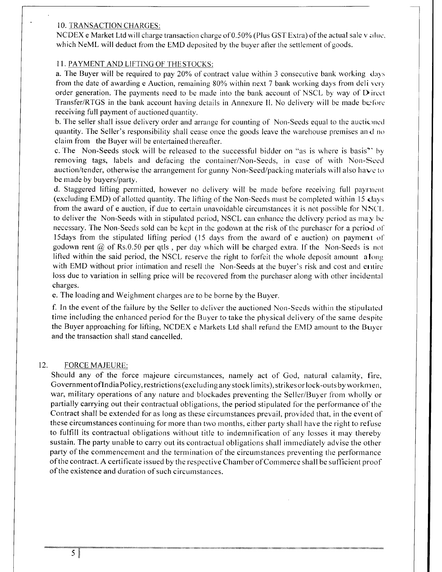#### <sup>1</sup>O. TRANSACTION CHARGES:

NCDEX e Market Ltd will charge transaction charge of 0.50% (Plus GST Extra) of the actual sale v:rlue. which NeML will deduct from the EMD deposited by the buyer after the settlement of goods.

#### I I. PAYMENT AND LIFTING OF THESTOCKS:

a. The Buyer will be required to pay 20% of contract value within 3 consecutive bank working days from the date of awarding e Auction, remaining 80% within next 7 bank working days from deli very order generation. The payments need to be made into the bank account of NSCL by way of  $D$  ircct Transfer/RTGS in the bank account having details in Annexure II. No delivery will be made before receiving full payment of auctioned quantity.

b. The seller shall issue delivery order and arrange for counting of Non-Seeds equal to the auctioned quantity. The Seller's responsibility shall cease once the goods leave the warehouse premises and no claim from the Buyer will be entertained thereafter.

c. The Non-Seeds stock will be released to the successful bidder on "as is where is basis'' by removing tags, labels and defacing the container/Non-Seeds, in case of with Non-Seed auction/tender, otherwise the arrangement for gunny Non-Seed/packing materials will also have to be made by buyers/party.

d. Staggered lifting permitted, however no delivery will be made before receiving full payrnent (excluding EMD) of allotted quantity. The lifting of the Non-Seeds must be completed within 15 days from the award of e auction, if due to certain unavoidable circumstances it is not possible for NSCL to deliver the Non-Seeds with in stipulated period, NSCL can enhance the delivery period as may be necessary. The Non-Seeds sold can be kept in the godown at the risk of the purchaser for a period of 15days from the stipulated lifting period (15 days from the award of e auction) on payment of godown rent  $\omega$  of Rs.0.50 per qtls, per day which will be charged extra. If the Non-Seeds is not lifted within the said period, the NSCL reserve the right to forfeit the whole deposit amount along with EMD without prior intimation and resell the Non-Seeds at the buyer's risk and cost and entire loss due to variation in selling price will be recovered from the purchaser along with other incidental charges.

e. The loading and Weighment charges are to be borne by the Buyer.

f. In the event of the failure by the Seller to deliver the auctioned Non-Seeds within the stipulated time including the enhanced period for the Buyer to take the physical delivery of the same despite the Buyer approaching for lifting, NCDEX e Markets Ltd shall refund the EMD amount to the Buyer and the transaction shall stand cancelled.

#### $12.$ FORCE MAJEURE:

Should any of the force majeure circumstances, namely act of God, natural calamity, fire, Government of India Policy, restrictions (excluding any stock limits), strikes or lock-outs by workmen, war, military operations of any nature and blockades preventing the Seller/Buyer from wholly or partially carrying out their contractual obligations, the period stipulated for the performance of the Contract shall be extended for as long as these circumstances prevail, provided that, in the event of these circumstances continuing for more than two months, either party shall have the right to refuse to fulfill its contractual obligations without title to indemnification of any losses it may thereby sustain. The party unable to carry out its contractual obligations shall immediately advise the other party of the commencement and the termination of the circumstances preventing the performance of the contract. A certificate issued by the respective Chamber of Commerce shall be sufficient proof of the existence and duration of such circumstances.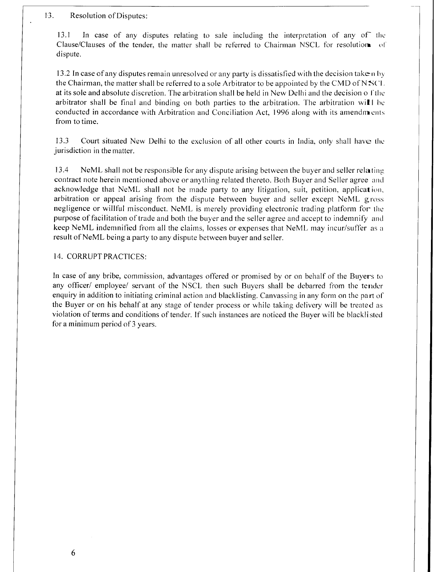#### . Resolution of Disputes:

13.1 In case of any disputes relating to sale including the interpretation of any of the Clause/Clauses of the tender. the matter shall be referred to Chairman NSCL for resolution ol dispute.

13.2 In case of any disputes remain unresolved or any party is dissatisfied with the decision take n by the Chairman, the matter shall be referred to a sole Arbitrator to be appointed by the CMD of NSCL at its sole and absolute discretion. The arbitration shall be held in New Delhi and the decision of the arbitrator shall be final and binding on both parties to the arbitration. The arbitration will be conducted in accordance with Arbitration and Conciliation Act. 1996 alons with its amendments from to time.

13.3 Court situated New Delhi to the exclusion of all other courts in India. onlv shall have tlre jurisdiction in the matter.

13.4 NeML shall not be responsible for any dispute arising between the buyer and seller rela ting contract note herein mentioned above or anything related thereto. Both Buyer and Seller agree and acknowledge that NeML shall not be made party to any litigation, suit, petition, application, arbitration or appeal arising from the dispute between buyer and seller except NeML gross negligence or willful misconduct. NeML is merely providing electronic trading platform for the purpose of facilitation of trade and both the buyer and the seller agree and accept to indemnify and keep NeML indemnified from all the claims, losses or expenses that NeML may incur/suffer as a result of NeML being a party to any dispute between buyer and seller.

#### 14. CORRUPT PRACTICES:

In case of any bribe, commission, advantages offered or promised by or on behalf of the Buyers to any officer/ employee/ servant of the NSCL then such Buyers shall be debarred from the tender enquiry in addition to initiating criminal action and blacklisting. Canvassing in any form on the part of the Buyer or on his behalf at any stage of tender process or while taking delivery will be treated as violation of terms and conditions of tender. If such instances are noticed the Buyer will be blacklisted for a minimum period of 3 years.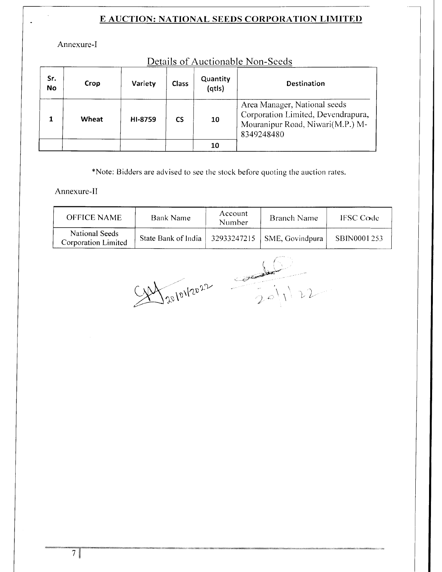Annexure-I

| Details of Auctionable Non-Seeds |  |
|----------------------------------|--|
|----------------------------------|--|

| Sr.<br><b>No</b> | Crop  | Variety | Class     | Quantity<br>(qtls) | <b>Destination</b>                                                                                                   |  |
|------------------|-------|---------|-----------|--------------------|----------------------------------------------------------------------------------------------------------------------|--|
|                  | Wheat | HI-8759 | <b>CS</b> | 10                 | Area Manager, National seeds<br>Corporation Limited, Devendrapura,<br>Mouranipur Road, Niwari(M.P.) M-<br>8349248480 |  |
|                  |       |         |           | 10                 |                                                                                                                      |  |

\*Note: Bidders are advised to see the stock before quoting the auction rates.

Annexure-II

| <b>OFFICE NAME</b>                    | Bank Name                                           | Account<br>Number | Branch Name | <b>IFSC Code</b> |
|---------------------------------------|-----------------------------------------------------|-------------------|-------------|------------------|
| National Seeds<br>Corporation Limited | State Bank of India   32933247215   SME, Govindpura |                   |             | SBIN0001253      |

 $Cov$   $\sqrt{2^{2}}$   $\sqrt{2^{2}}$  $\angle$